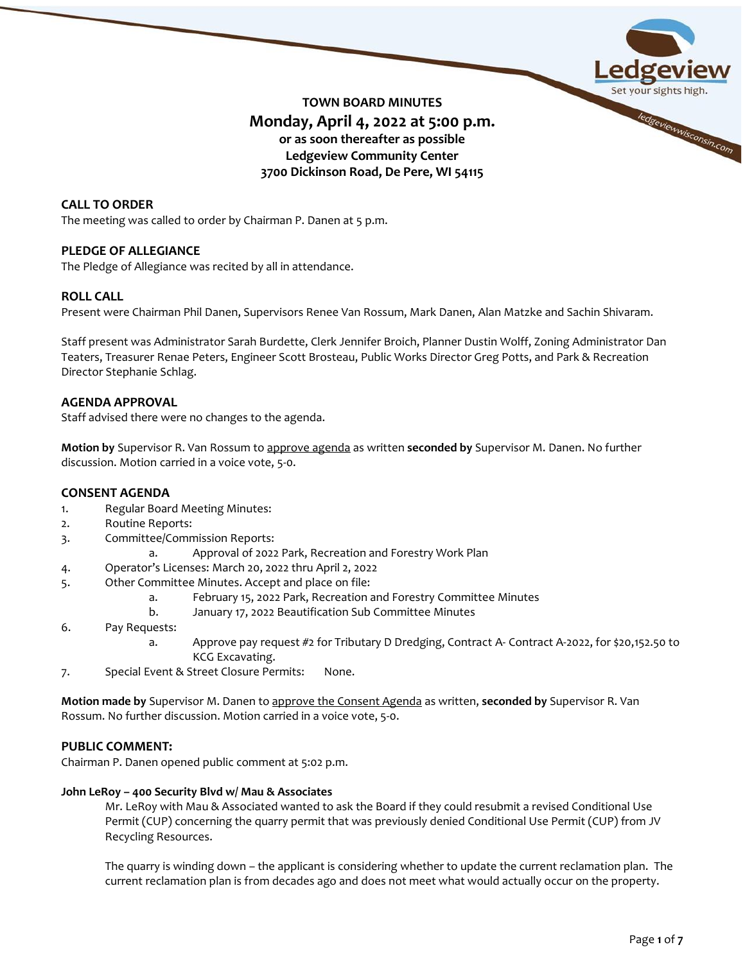

# **TOWN BOARD MINUTES Monday, April 4, 2022 at 5:00 p.m. or as soon thereafter as possible Ledgeview Community Center 3700 Dickinson Road, De Pere, WI 54115**

# **CALL TO ORDER**

The meeting was called to order by Chairman P. Danen at 5 p.m.

# **PLEDGE OF ALLEGIANCE**

The Pledge of Allegiance was recited by all in attendance.

# **ROLL CALL**

Present were Chairman Phil Danen, Supervisors Renee Van Rossum, Mark Danen, Alan Matzke and Sachin Shivaram.

Staff present was Administrator Sarah Burdette, Clerk Jennifer Broich, Planner Dustin Wolff, Zoning Administrator Dan Teaters, Treasurer Renae Peters, Engineer Scott Brosteau, Public Works Director Greg Potts, and Park & Recreation Director Stephanie Schlag.

### **AGENDA APPROVAL**

Staff advised there were no changes to the agenda.

**Motion by** Supervisor R. Van Rossum to approve agenda as written **seconded by** Supervisor M. Danen. No further discussion. Motion carried in a voice vote, 5-0.

#### **CONSENT AGENDA**

- 1. Regular Board Meeting Minutes:
- 2. Routine Reports:
- 3. Committee/Commission Reports:
	- a. Approval of 2022 Park, Recreation and Forestry Work Plan
- 4. Operator's Licenses: March 20, 2022 thru April 2, 2022
- 5. Other Committee Minutes. Accept and place on file:
	- a. February 15, 2022 Park, Recreation and Forestry Committee Minutes
		- b. January 17, 2022 Beautification Sub Committee Minutes
- 6. Pay Requests:
	- a. Approve pay request #2 for Tributary D Dredging, Contract A- Contract A-2022, for \$20,152.50 to KCG Excavating.
- 7. Special Event & Street Closure Permits: None.

**Motion made by** Supervisor M. Danen to approve the Consent Agenda as written, **seconded by** Supervisor R. Van Rossum. No further discussion. Motion carried in a voice vote, 5-0.

#### **PUBLIC COMMENT:**

Chairman P. Danen opened public comment at 5:02 p.m.

#### **John LeRoy – 400 Security Blvd w/ Mau & Associates**

Mr. LeRoy with Mau & Associated wanted to ask the Board if they could resubmit a revised Conditional Use Permit (CUP) concerning the quarry permit that was previously denied Conditional Use Permit (CUP) from JV Recycling Resources.

The quarry is winding down – the applicant is considering whether to update the current reclamation plan. The current reclamation plan is from decades ago and does not meet what would actually occur on the property.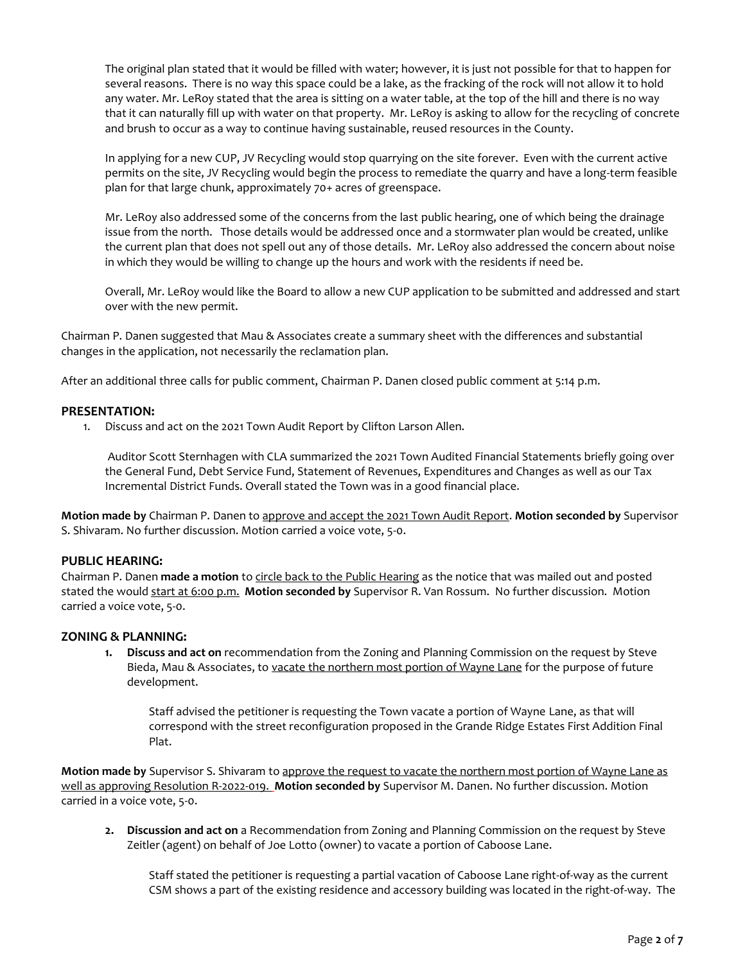The original plan stated that it would be filled with water; however, it is just not possible for that to happen for several reasons. There is no way this space could be a lake, as the fracking of the rock will not allow it to hold any water. Mr. LeRoy stated that the area is sitting on a water table, at the top of the hill and there is no way that it can naturally fill up with water on that property. Mr. LeRoy is asking to allow for the recycling of concrete and brush to occur as a way to continue having sustainable, reused resources in the County.

In applying for a new CUP, JV Recycling would stop quarrying on the site forever. Even with the current active permits on the site, JV Recycling would begin the process to remediate the quarry and have a long-term feasible plan for that large chunk, approximately 70+ acres of greenspace.

Mr. LeRoy also addressed some of the concerns from the last public hearing, one of which being the drainage issue from the north. Those details would be addressed once and a stormwater plan would be created, unlike the current plan that does not spell out any of those details. Mr. LeRoy also addressed the concern about noise in which they would be willing to change up the hours and work with the residents if need be.

Overall, Mr. LeRoy would like the Board to allow a new CUP application to be submitted and addressed and start over with the new permit.

Chairman P. Danen suggested that Mau & Associates create a summary sheet with the differences and substantial changes in the application, not necessarily the reclamation plan.

After an additional three calls for public comment, Chairman P. Danen closed public comment at 5:14 p.m.

#### **PRESENTATION:**

1. Discuss and act on the 2021 Town Audit Report by Clifton Larson Allen.

Auditor Scott Sternhagen with CLA summarized the 2021 Town Audited Financial Statements briefly going over the General Fund, Debt Service Fund, Statement of Revenues, Expenditures and Changes as well as our Tax Incremental District Funds. Overall stated the Town was in a good financial place.

**Motion made by** Chairman P. Danen to approve and accept the 2021 Town Audit Report. **Motion seconded by** Supervisor S. Shivaram. No further discussion. Motion carried a voice vote, 5-0.

#### **PUBLIC HEARING:**

Chairman P. Danen **made a motion** to circle back to the Public Hearing as the notice that was mailed out and posted stated the would start at 6:00 p.m. **Motion seconded by** Supervisor R. Van Rossum. No further discussion. Motion carried a voice vote, 5-0.

#### **ZONING & PLANNING:**

**1. Discuss and act on** recommendation from the Zoning and Planning Commission on the request by Steve Bieda, Mau & Associates, to vacate the northern most portion of Wayne Lane for the purpose of future development.

Staff advised the petitioner is requesting the Town vacate a portion of Wayne Lane, as that will correspond with the street reconfiguration proposed in the Grande Ridge Estates First Addition Final Plat.

**Motion made by** Supervisor S. Shivaram to approve the request to vacate the northern most portion of Wayne Lane as well as approving Resolution R-2022-019. **Motion seconded by** Supervisor M. Danen. No further discussion. Motion carried in a voice vote, 5-0.

**2. Discussion and act on** a Recommendation from Zoning and Planning Commission on the request by Steve Zeitler (agent) on behalf of Joe Lotto (owner) to vacate a portion of Caboose Lane.

Staff stated the petitioner is requesting a partial vacation of Caboose Lane right-of-way as the current CSM shows a part of the existing residence and accessory building was located in the right-of-way. The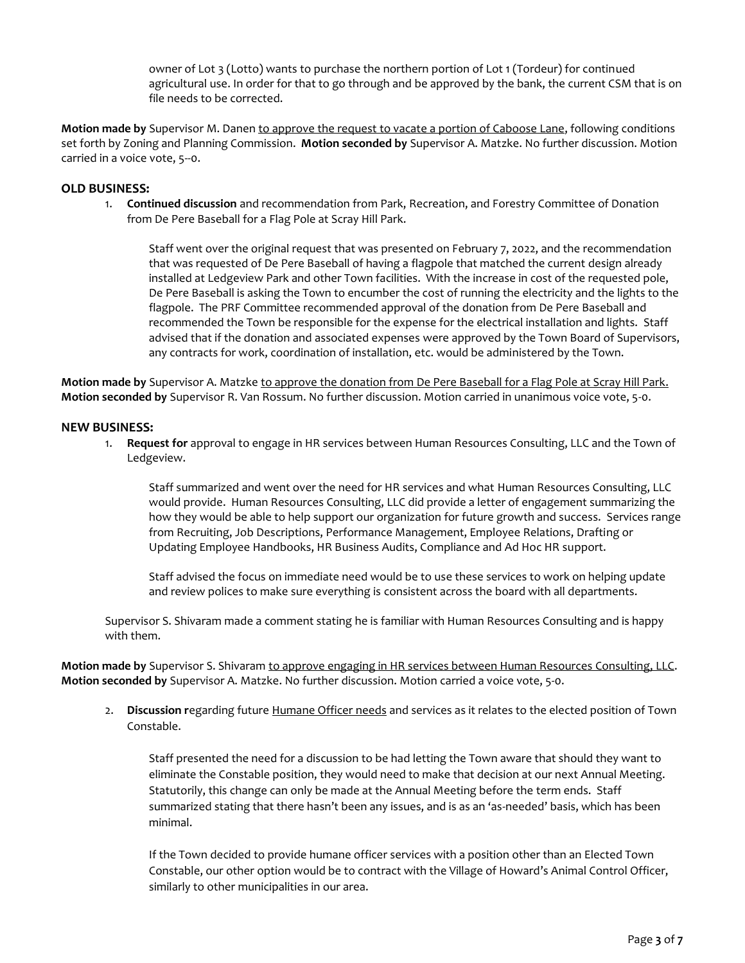owner of Lot 3 (Lotto) wants to purchase the northern portion of Lot 1 (Tordeur) for continued agricultural use. In order for that to go through and be approved by the bank, the current CSM that is on file needs to be corrected.

**Motion made by** Supervisor M. Danen to approve the request to vacate a portion of Caboose Lane, following conditions set forth by Zoning and Planning Commission. **Motion seconded by** Supervisor A. Matzke. No further discussion. Motion carried in a voice vote, 5--0.

# **OLD BUSINESS:**

1. **Continued discussion** and recommendation from Park, Recreation, and Forestry Committee of Donation from De Pere Baseball for a Flag Pole at Scray Hill Park.

Staff went over the original request that was presented on February 7, 2022, and the recommendation that was requested of De Pere Baseball of having a flagpole that matched the current design already installed at Ledgeview Park and other Town facilities. With the increase in cost of the requested pole, De Pere Baseball is asking the Town to encumber the cost of running the electricity and the lights to the flagpole. The PRF Committee recommended approval of the donation from De Pere Baseball and recommended the Town be responsible for the expense for the electrical installation and lights. Staff advised that if the donation and associated expenses were approved by the Town Board of Supervisors, any contracts for work, coordination of installation, etc. would be administered by the Town.

**Motion made by** Supervisor A. Matzke to approve the donation from De Pere Baseball for a Flag Pole at Scray Hill Park. **Motion seconded by** Supervisor R. Van Rossum. No further discussion. Motion carried in unanimous voice vote, 5-0.

#### **NEW BUSINESS:**

1. **Request for** approval to engage in HR services between Human Resources Consulting, LLC and the Town of Ledgeview.

Staff summarized and went over the need for HR services and what Human Resources Consulting, LLC would provide. Human Resources Consulting, LLC did provide a letter of engagement summarizing the how they would be able to help support our organization for future growth and success. Services range from Recruiting, Job Descriptions, Performance Management, Employee Relations, Drafting or Updating Employee Handbooks, HR Business Audits, Compliance and Ad Hoc HR support.

Staff advised the focus on immediate need would be to use these services to work on helping update and review polices to make sure everything is consistent across the board with all departments.

Supervisor S. Shivaram made a comment stating he is familiar with Human Resources Consulting and is happy with them.

**Motion made by** Supervisor S. Shivaram to approve engaging in HR services between Human Resources Consulting, LLC. **Motion seconded by** Supervisor A. Matzke. No further discussion. Motion carried a voice vote, 5-0.

2. **Discussion r**egarding future Humane Officer needs and services as it relates to the elected position of Town Constable.

Staff presented the need for a discussion to be had letting the Town aware that should they want to eliminate the Constable position, they would need to make that decision at our next Annual Meeting. Statutorily, this change can only be made at the Annual Meeting before the term ends. Staff summarized stating that there hasn't been any issues, and is as an 'as-needed' basis, which has been minimal.

If the Town decided to provide humane officer services with a position other than an Elected Town Constable, our other option would be to contract with the Village of Howard's Animal Control Officer, similarly to other municipalities in our area.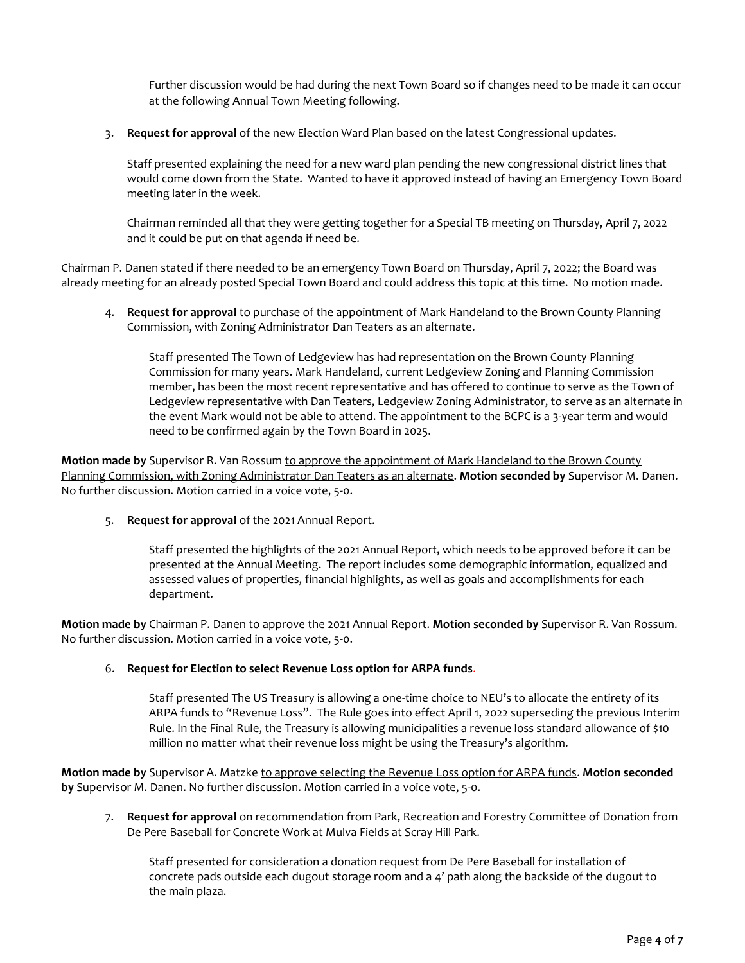Further discussion would be had during the next Town Board so if changes need to be made it can occur at the following Annual Town Meeting following.

3. **Request for approval** of the new Election Ward Plan based on the latest Congressional updates.

Staff presented explaining the need for a new ward plan pending the new congressional district lines that would come down from the State. Wanted to have it approved instead of having an Emergency Town Board meeting later in the week.

Chairman reminded all that they were getting together for a Special TB meeting on Thursday, April 7, 2022 and it could be put on that agenda if need be.

Chairman P. Danen stated if there needed to be an emergency Town Board on Thursday, April 7, 2022; the Board was already meeting for an already posted Special Town Board and could address this topic at this time. No motion made.

4. **Request for approval** to purchase of the appointment of Mark Handeland to the Brown County Planning Commission, with Zoning Administrator Dan Teaters as an alternate.

Staff presented The Town of Ledgeview has had representation on the Brown County Planning Commission for many years. Mark Handeland, current Ledgeview Zoning and Planning Commission member, has been the most recent representative and has offered to continue to serve as the Town of Ledgeview representative with Dan Teaters, Ledgeview Zoning Administrator, to serve as an alternate in the event Mark would not be able to attend. The appointment to the BCPC is a 3-year term and would need to be confirmed again by the Town Board in 2025.

**Motion made by** Supervisor R. Van Rossum to approve the appointment of Mark Handeland to the Brown County Planning Commission, with Zoning Administrator Dan Teaters as an alternate. **Motion seconded by** Supervisor M. Danen. No further discussion. Motion carried in a voice vote, 5-0.

5. **Request for approval** of the 2021 Annual Report.

Staff presented the highlights of the 2021 Annual Report, which needs to be approved before it can be presented at the Annual Meeting. The report includes some demographic information, equalized and assessed values of properties, financial highlights, as well as goals and accomplishments for each department.

**Motion made by** Chairman P. Danen to approve the 2021 Annual Report. **Motion seconded by** Supervisor R. Van Rossum. No further discussion. Motion carried in a voice vote, 5-0.

#### 6. **Request for Election to select Revenue Loss option for ARPA funds**.

Staff presented The US Treasury is allowing a one-time choice to NEU's to allocate the entirety of its ARPA funds to "Revenue Loss". The Rule goes into effect April 1, 2022 superseding the previous Interim Rule. In the Final Rule, the Treasury is allowing municipalities a revenue loss standard allowance of \$10 million no matter what their revenue loss might be using the Treasury's algorithm.

**Motion made by** Supervisor A. Matzke to approve selecting the Revenue Loss option for ARPA funds. **Motion seconded by** Supervisor M. Danen. No further discussion. Motion carried in a voice vote, 5-0.

7. **Request for approval** on recommendation from Park, Recreation and Forestry Committee of Donation from De Pere Baseball for Concrete Work at Mulva Fields at Scray Hill Park.

Staff presented for consideration a donation request from De Pere Baseball for installation of concrete pads outside each dugout storage room and a 4' path along the backside of the dugout to the main plaza.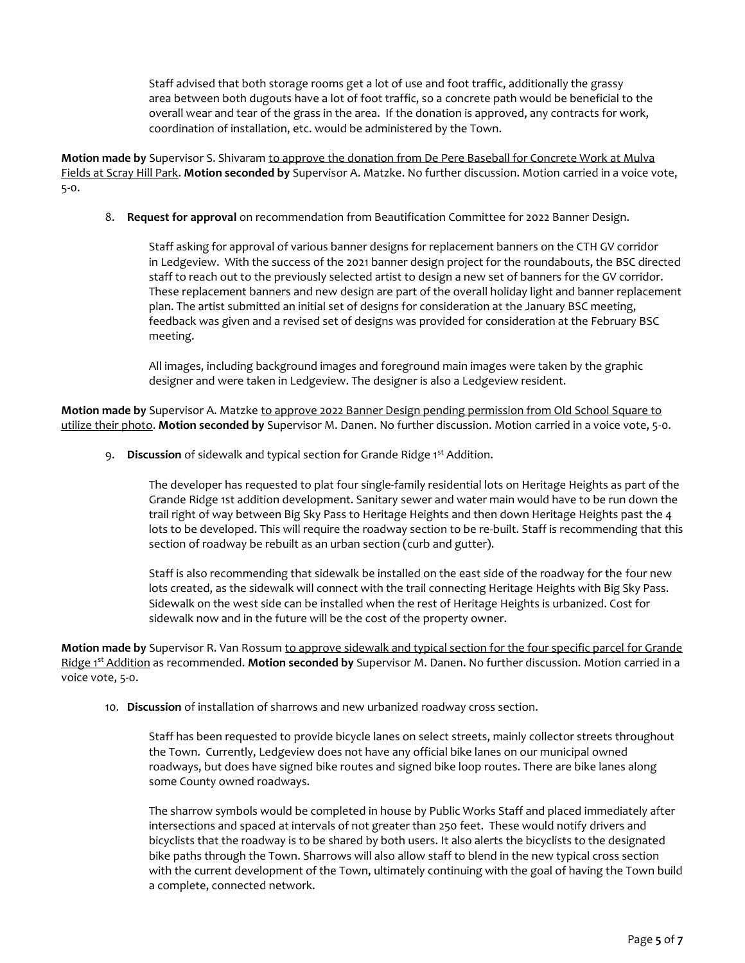Staff advised that both storage rooms get a lot of use and foot traffic, additionally the grassy area between both dugouts have a lot of foot traffic, so a concrete path would be beneficial to the overall wear and tear of the grass in the area. If the donation is approved, any contracts for work, coordination of installation, etc. would be administered by the Town.

**Motion made by** Supervisor S. Shivaram to approve the donation from De Pere Baseball for Concrete Work at Mulva Fields at Scray Hill Park. **Motion seconded by** Supervisor A. Matzke. No further discussion. Motion carried in a voice vote, 5-0.

8. **Request for approval** on recommendation from Beautification Committee for 2022 Banner Design.

Staff asking for approval of various banner designs for replacement banners on the CTH GV corridor in Ledgeview. With the success of the 2021 banner design project for the roundabouts, the BSC directed staff to reach out to the previously selected artist to design a new set of banners for the GV corridor. These replacement banners and new design are part of the overall holiday light and banner replacement plan. The artist submitted an initial set of designs for consideration at the January BSC meeting, feedback was given and a revised set of designs was provided for consideration at the February BSC meeting.

All images, including background images and foreground main images were taken by the graphic designer and were taken in Ledgeview. The designer is also a Ledgeview resident.

**Motion made by** Supervisor A. Matzke to approve 2022 Banner Design pending permission from Old School Square to utilize their photo. **Motion seconded by** Supervisor M. Danen. No further discussion. Motion carried in a voice vote, 5-0.

9. **Discussion** of sidewalk and typical section for Grande Ridge 1<sup>st</sup> Addition.

The developer has requested to plat four single-family residential lots on Heritage Heights as part of the Grande Ridge 1st addition development. Sanitary sewer and water main would have to be run down the trail right of way between Big Sky Pass to Heritage Heights and then down Heritage Heights past the 4 lots to be developed. This will require the roadway section to be re-built. Staff is recommending that this section of roadway be rebuilt as an urban section (curb and gutter).

Staff is also recommending that sidewalk be installed on the east side of the roadway for the four new lots created, as the sidewalk will connect with the trail connecting Heritage Heights with Big Sky Pass. Sidewalk on the west side can be installed when the rest of Heritage Heights is urbanized. Cost for sidewalk now and in the future will be the cost of the property owner.

**Motion made by** Supervisor R. Van Rossum to approve sidewalk and typical section for the four specific parcel for Grande Ridge 1<sup>st</sup> Addition as recommended. Motion seconded by Supervisor M. Danen. No further discussion. Motion carried in a voice vote, 5-0.

10. **Discussion** of installation of sharrows and new urbanized roadway cross section.

Staff has been requested to provide bicycle lanes on select streets, mainly collector streets throughout the Town. Currently, Ledgeview does not have any official bike lanes on our municipal owned roadways, but does have signed bike routes and signed bike loop routes. There are bike lanes along some County owned roadways.

The sharrow symbols would be completed in house by Public Works Staff and placed immediately after intersections and spaced at intervals of not greater than 250 feet. These would notify drivers and bicyclists that the roadway is to be shared by both users. It also alerts the bicyclists to the designated bike paths through the Town. Sharrows will also allow staff to blend in the new typical cross section with the current development of the Town, ultimately continuing with the goal of having the Town build a complete, connected network.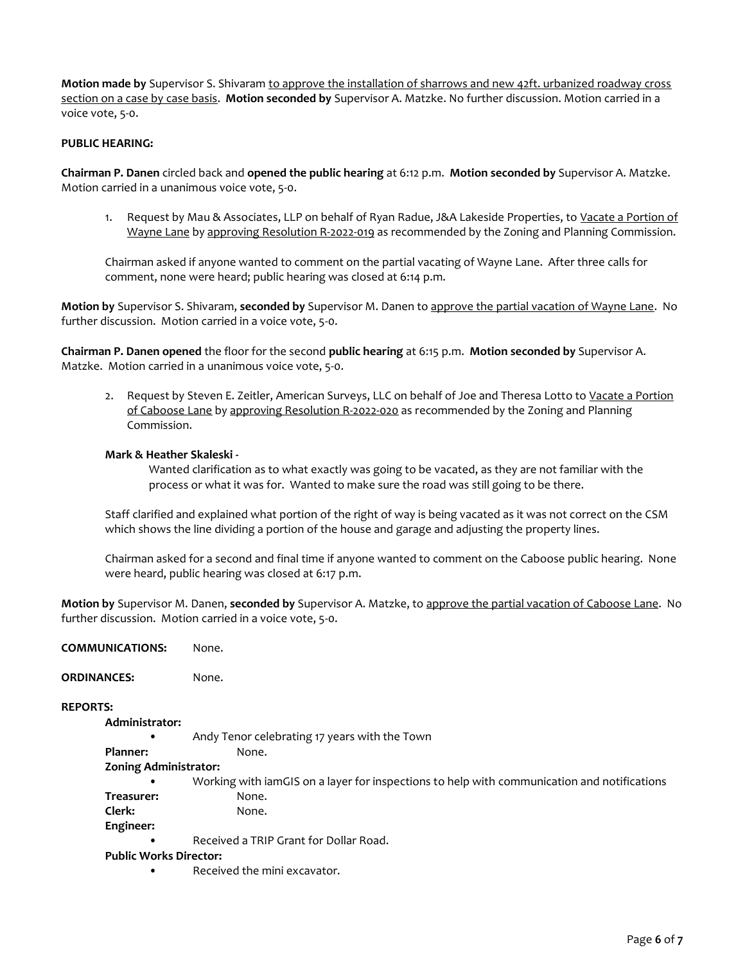**Motion made by** Supervisor S. Shivaram to approve the installation of sharrows and new 42ft. urbanized roadway cross section on a case by case basis. **Motion seconded by** Supervisor A. Matzke. No further discussion. Motion carried in a voice vote, 5-0.

# **PUBLIC HEARING:**

**Chairman P. Danen** circled back and **opened the public hearing** at 6:12 p.m. **Motion seconded by** Supervisor A. Matzke. Motion carried in a unanimous voice vote, 5-0.

1. Request by Mau & Associates, LLP on behalf of Ryan Radue, J&A Lakeside Properties, to Vacate a Portion of Wayne Lane by approving Resolution R-2022-019 as recommended by the Zoning and Planning Commission.

Chairman asked if anyone wanted to comment on the partial vacating of Wayne Lane. After three calls for comment, none were heard; public hearing was closed at 6:14 p.m.

**Motion by** Supervisor S. Shivaram, **seconded by** Supervisor M. Danen to approve the partial vacation of Wayne Lane. No further discussion. Motion carried in a voice vote, 5-0.

**Chairman P. Danen opened** the floor for the second **public hearing** at 6:15 p.m. **Motion seconded by** Supervisor A. Matzke. Motion carried in a unanimous voice vote, 5-0.

2. Request by Steven E. Zeitler, American Surveys, LLC on behalf of Joe and Theresa Lotto to Vacate a Portion of Caboose Lane by approving Resolution R-2022-020 as recommended by the Zoning and Planning Commission.

### **Mark & Heather Skaleski -**

Wanted clarification as to what exactly was going to be vacated, as they are not familiar with the process or what it was for. Wanted to make sure the road was still going to be there.

Staff clarified and explained what portion of the right of way is being vacated as it was not correct on the CSM which shows the line dividing a portion of the house and garage and adjusting the property lines.

Chairman asked for a second and final time if anyone wanted to comment on the Caboose public hearing. None were heard, public hearing was closed at 6:17 p.m.

**Motion by** Supervisor M. Danen, **seconded by** Supervisor A. Matzke, to approve the partial vacation of Caboose Lane. No further discussion. Motion carried in a voice vote, 5-0.

| <b>COMMUNICATIONS:</b>        | None.                                                                                       |
|-------------------------------|---------------------------------------------------------------------------------------------|
| <b>ORDINANCES:</b>            | None.                                                                                       |
| <b>REPORTS:</b>               |                                                                                             |
| Administrator:                |                                                                                             |
|                               | Andy Tenor celebrating 17 years with the Town                                               |
| Planner:                      | None.                                                                                       |
| <b>Zoning Administrator:</b>  |                                                                                             |
|                               | Working with iamGIS on a layer for inspections to help with communication and notifications |
| Treasurer:                    | None.                                                                                       |
| Clerk:                        | None.                                                                                       |
| Engineer:                     |                                                                                             |
|                               | Received a TRIP Grant for Dollar Road.                                                      |
| <b>Public Works Director:</b> |                                                                                             |
|                               | Dessited the main streamster                                                                |

• Received the mini excavator.